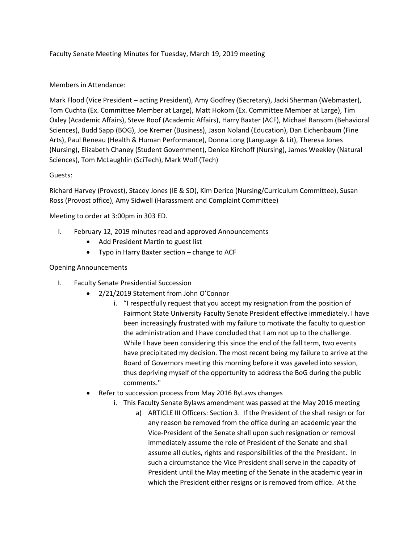Faculty Senate Meeting Minutes for Tuesday, March 19, 2019 meeting

## Members in Attendance:

Mark Flood (Vice President – acting President), Amy Godfrey (Secretary), Jacki Sherman (Webmaster), Tom Cuchta (Ex. Committee Member at Large), Matt Hokom (Ex. Committee Member at Large), Tim Oxley (Academic Affairs), Steve Roof (Academic Affairs), Harry Baxter (ACF), Michael Ransom (Behavioral Sciences), Budd Sapp (BOG), Joe Kremer (Business), Jason Noland (Education), Dan Eichenbaum (Fine Arts), Paul Reneau (Health & Human Performance), Donna Long (Language & Lit), Theresa Jones (Nursing), Elizabeth Chaney (Student Government), Denice Kirchoff (Nursing), James Weekley (Natural Sciences), Tom McLaughlin (SciTech), Mark Wolf (Tech)

## Guests:

Richard Harvey (Provost), Stacey Jones (IE & SO), Kim Derico (Nursing/Curriculum Committee), Susan Ross (Provost office), Amy Sidwell (Harassment and Complaint Committee)

Meeting to order at 3:00pm in 303 ED.

- I. February 12, 2019 minutes read and approved Announcements
	- Add President Martin to guest list
	- Typo in Harry Baxter section change to ACF

#### Opening Announcements

- I. Faculty Senate Presidential Succession
	- 2/21/2019 Statement from John O'Connor
		- i. "I respectfully request that you accept my resignation from the position of Fairmont State University Faculty Senate President effective immediately. I have been increasingly frustrated with my failure to motivate the faculty to question the administration and I have concluded that I am not up to the challenge. While I have been considering this since the end of the fall term, two events have precipitated my decision. The most recent being my failure to arrive at the Board of Governors meeting this morning before it was gaveled into session, thus depriving myself of the opportunity to address the BoG during the public comments."
	- Refer to succession process from May 2016 ByLaws changes
		- i. This Faculty Senate Bylaws amendment was passed at the May 2016 meeting
			- a) ARTICLE III Officers: Section 3. If the President of the shall resign or for any reason be removed from the office during an academic year the Vice-President of the Senate shall upon such resignation or removal immediately assume the role of President of the Senate and shall assume all duties, rights and responsibilities of the the President. In such a circumstance the Vice President shall serve in the capacity of President until the May meeting of the Senate in the academic year in which the President either resigns or is removed from office. At the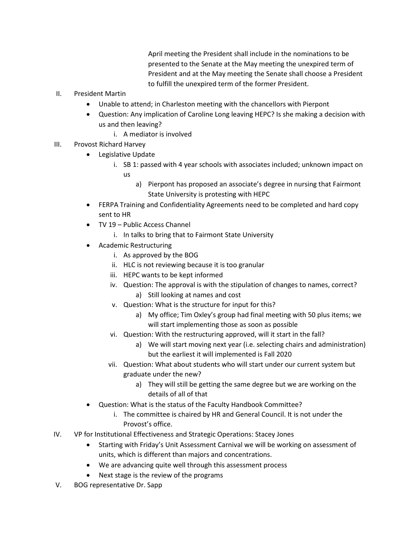April meeting the President shall include in the nominations to be presented to the Senate at the May meeting the unexpired term of President and at the May meeting the Senate shall choose a President to fulfill the unexpired term of the former President.

- II. President Martin
	- Unable to attend; in Charleston meeting with the chancellors with Pierpont
	- Question: Any implication of Caroline Long leaving HEPC? Is she making a decision with us and then leaving?
		- i. A mediator is involved
- III. Provost Richard Harvey
	- Legislative Update
		- i. SB 1: passed with 4 year schools with associates included; unknown impact on us
			- a) Pierpont has proposed an associate's degree in nursing that Fairmont State University is protesting with HEPC
	- FERPA Training and Confidentiality Agreements need to be completed and hard copy sent to HR
	- TV 19 Public Access Channel
		- i. In talks to bring that to Fairmont State University
	- Academic Restructuring
		- i. As approved by the BOG
		- ii. HLC is not reviewing because it is too granular
		- iii. HEPC wants to be kept informed
		- iv. Question: The approval is with the stipulation of changes to names, correct? a) Still looking at names and cost
		- v. Question: What is the structure for input for this?
			- a) My office; Tim Oxley's group had final meeting with 50 plus items; we will start implementing those as soon as possible
		- vi. Question: With the restructuring approved, will it start in the fall?
			- a) We will start moving next year (i.e. selecting chairs and administration) but the earliest it will implemented is Fall 2020
		- vii. Question: What about students who will start under our current system but graduate under the new?
			- a) They will still be getting the same degree but we are working on the details of all of that
	- Question: What is the status of the Faculty Handbook Committee?
		- i. The committee is chaired by HR and General Council. It is not under the Provost's office.
- IV. VP for Institutional Effectiveness and Strategic Operations: Stacey Jones
	- Starting with Friday's Unit Assessment Carnival we will be working on assessment of units, which is different than majors and concentrations.
	- We are advancing quite well through this assessment process
	- Next stage is the review of the programs
- V. BOG representative Dr. Sapp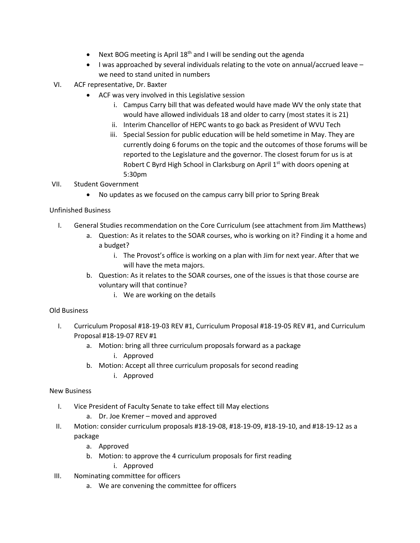- Next BOG meeting is April 18<sup>th</sup> and I will be sending out the agenda
- I was approached by several individuals relating to the vote on annual/accrued leave we need to stand united in numbers
- VI. ACF representative, Dr. Baxter
	- ACF was very involved in this Legislative session
		- i. Campus Carry bill that was defeated would have made WV the only state that would have allowed individuals 18 and older to carry (most states it is 21)
		- ii. Interim Chancellor of HEPC wants to go back as President of WVU Tech
		- iii. Special Session for public education will be held sometime in May. They are currently doing 6 forums on the topic and the outcomes of those forums will be reported to the Legislature and the governor. The closest forum for us is at Robert C Byrd High School in Clarksburg on April 1<sup>st</sup> with doors opening at 5:30pm

# VII. Student Government

• No updates as we focused on the campus carry bill prior to Spring Break

# Unfinished Business

- I. General Studies recommendation on the Core Curriculum (see attachment from Jim Matthews)
	- a. Question: As it relates to the SOAR courses, who is working on it? Finding it a home and a budget?
		- i. The Provost's office is working on a plan with Jim for next year. After that we will have the meta majors.
	- b. Question: As it relates to the SOAR courses, one of the issues is that those course are voluntary will that continue?
		- i. We are working on the details

# Old Business

- I. Curriculum Proposal #18-19-03 REV #1, Curriculum Proposal #18-19-05 REV #1, and Curriculum Proposal #18-19-07 REV #1
	- a. Motion: bring all three curriculum proposals forward as a package
		- i. Approved
	- b. Motion: Accept all three curriculum proposals for second reading
		- i. Approved

#### New Business

- I. Vice President of Faculty Senate to take effect till May elections
	- a. Dr. Joe Kremer moved and approved
- II. Motion: consider curriculum proposals #18-19-08, #18-19-09, #18-19-10, and #18-19-12 as a package
	- a. Approved
	- b. Motion: to approve the 4 curriculum proposals for first reading i. Approved
- III. Nominating committee for officers
	- a. We are convening the committee for officers